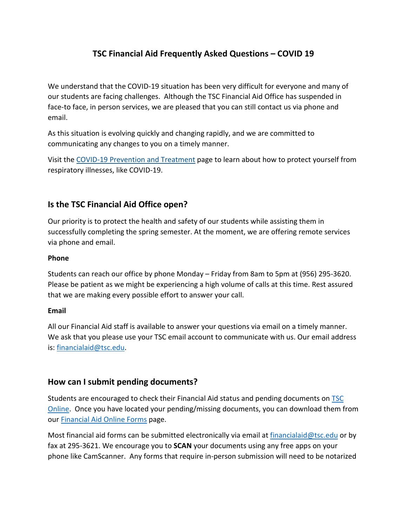# **TSC Financial Aid Frequently Asked Questions – COVID 19**

We understand that the COVID-19 situation has been very difficult for everyone and many of our students are facing challenges. Although the TSC Financial Aid Office has suspended in face-to face, in person services, we are pleased that you can still contact us via phone and email.

As this situation is evolving quickly and changing rapidly, and we are committed to communicating any changes to you on a timely manner.

Visit th[e COVID-19 Prevention and Treatment](https://www.cdc.gov/coronavirus/2019-ncov/prepare/prevention.html) page to learn about how to protect yourself from respiratory illnesses, like COVID-19.

### **Is the TSC Financial Aid Office open?**

Our priority is to protect the health and safety of our students while assisting them in successfully completing the spring semester. At the moment, we are offering remote services via phone and email.

#### **Phone**

Students can reach our office by phone Monday – Friday from 8am to 5pm at (956) 295-3620. Please be patient as we might be experiencing a high volume of calls at this time. Rest assured that we are making every possible effort to answer your call.

#### **Email**

All our Financial Aid staff is available to answer your questions via email on a timely manner. We ask that you please use your TSC email account to communicate with us. Our email address is: [financialaid@tsc.edu.](mailto:financialaid@tsc.edu)

### **How can I submit pending documents?**

Students are encouraged to check their Financial Aid status and pending documents on [TSC](https://tsconline.tsc.edu/WebAdvisor/WebAdvisor?TYPE=M&PID=CORE-WBMAIN&TOKENIDX=5399335362)  [Online.](https://tsconline.tsc.edu/WebAdvisor/WebAdvisor?TYPE=M&PID=CORE-WBMAIN&TOKENIDX=5399335362) Once you have located your pending/missing documents, you can download them from our [Financial Aid Online Forms](http://tsc.edu/index.php/financial-aid-office/online-forms.html) page.

Most financial aid forms can be submitted electronically via email at [financialaid@tsc.edu](mailto:financialaid@tsc.edu) or by fax at 295-3621. We encourage you to **SCAN** your documents using any free apps on your phone like CamScanner.Any forms that require in-person submission will need to be notarized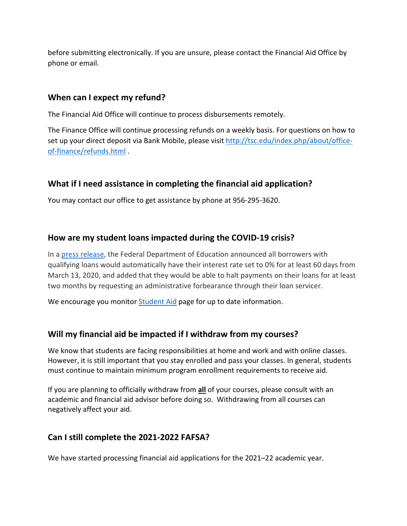before submitting electronically. If you are unsure, please contact the Financial Aid Office by phone or email.

### **When can I expect my refund?**

The Financial Aid Office will continue to process disbursements remotely.

The Finance Office will continue processing refunds on a weekly basis. For questions on how to set up your direct deposit via Bank Mobile, please visit [http://tsc.edu/index.php/about/office](http://tsc.edu/index.php/about/office-of-finance/refunds.html)[of-finance/refunds.html](http://tsc.edu/index.php/about/office-of-finance/refunds.html) .

# **What if I need assistance in completing the financial aid application?**

You may contact our office to get assistance by phone at 956-295-3620.

### **How are my student loans impacted during the COVID-19 crisis?**

In a [press release,](https://www.ed.gov/news/press-releases/delivering-president-trumps-promise-secretary-devos-suspends-federal-student-loan-payments-waives-interest-during-national-emergency?utm_content=&utm_medium=email&utm_name=&utm_source=govdelivery&utm_term=) the Federal Department of Education announced all borrowers with qualifying loans would automatically have their interest rate set to 0% for at least 60 days from March 13, 2020, and added that they would be able to halt payments on their loans for at least two months by requesting an administrative forbearance through their loan servicer.

We encourage you monito[r Student Aid](https://studentaid.gov/announcements-events/coronavirus) page for up to date information.

# **Will my financial aid be impacted if I withdraw from my courses?**

We know that students are facing responsibilities at home and work and with online classes. However, it is still important that you stay enrolled and pass your classes. In general, students must continue to maintain minimum program enrollment requirements to receive aid.

If you are planning to officially withdraw from **all** of your courses, please consult with an academic and financial aid advisor before doing so. Withdrawing from all courses can negatively affect your aid.

# **Can I still complete the 2021-2022 FAFSA?**

We have started processing financial aid applications for the 2021–22 academic year.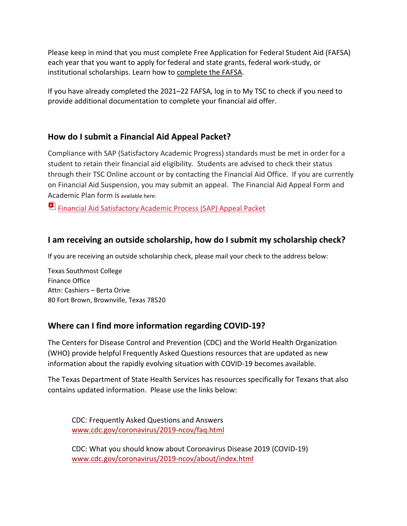Please keep in mind that you must complete Free Application for Federal Student Aid (FAFSA) each year that you want to apply for federal and state grants, federal work-study, or institutional scholarships. Learn how to [complete the FAFSA.](https://www.cpcc.edu/financial-aid/applying/fafsa)

If you have already completed the 2021–22 FAFSA, log in to My TSC to check if you need to provide additional documentation to complete your financial aid offer.

# **How do I submit a Financial Aid Appeal Packet?**

Compliance with SAP (Satisfactory Academic Progress) standards must be met in order for a student to retain their financial aid eligibility. Students are advised to check their status through their TSC Online account or by contacting the Financial Aid Office. If you are currently on Financial Aid Suspension, you may submit an appeal. The Financial Aid Appeal Form and Academic Plan form is available here:

[Financial Aid Satisfactory Academic Process \(SAP\) Appeal Packet](http://www.tsc.edu/images/FAForms2019/SAP_Appeal_Packet.pdf)

# **I am receiving an outside scholarship, how do I submit my scholarship check?**

If you are receiving an outside scholarship check, please mail your check to the address below:

Texas Southmost College Finance Office Attn: Cashiers – Berta Orive 80 Fort Brown, Brownville, Texas 78520

# **Where can I find more information regarding COVID-19?**

The Centers for Disease Control and Prevention (CDC) and the World Health Organization (WHO) provide helpful Frequently Asked Questions resources that are updated as new information about the rapidly evolving situation with COVID-19 becomes available.

The Texas Department of State Health Services has resources specifically for Texans that also contains updated information. Please use the links below:

CDC: Frequently Asked Questions and Answers [www.cdc.gov/coronavirus/2019-ncov/faq.html](https://www.cdc.gov/coronavirus/2019-ncov/faq.html)

CDC: What you should know about Coronavirus Disease 2019 (COVID-19) [www.cdc.gov/coronavirus/2019-ncov/about/index.html](https://www.cdc.gov/coronavirus/2019-ncov/about/index.html)